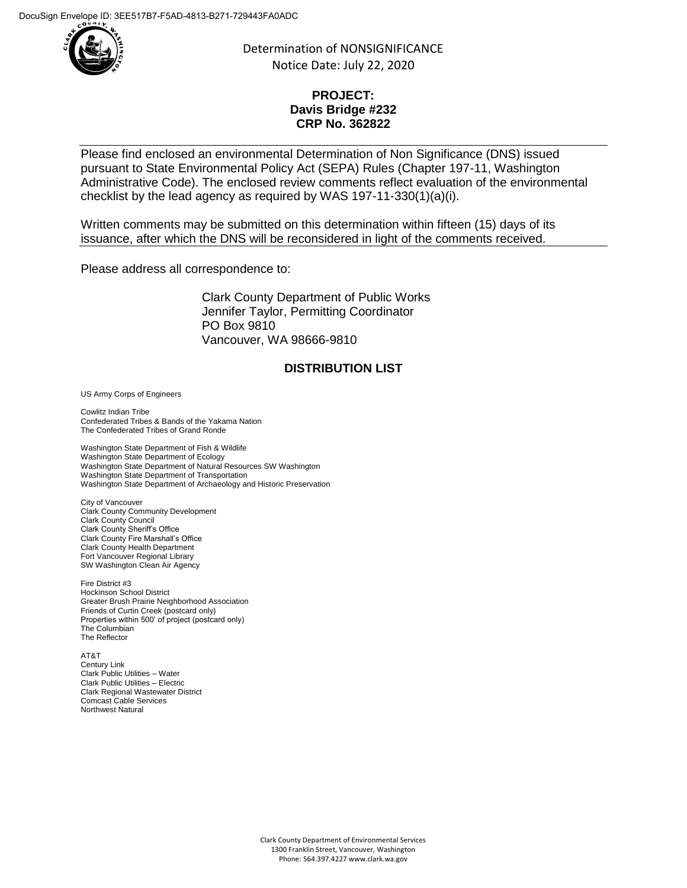

Determination of NONSIGNIFICANCE Notice Date: July 22, 2020

## **PROJECT: Davis Bridge #232 CRP No. 362822**

Please find enclosed an environmental Determination of Non Significance (DNS) issued pursuant to State Environmental Policy Act (SEPA) Rules (Chapter 197-11, Washington Administrative Code). The enclosed review comments reflect evaluation of the environmental checklist by the lead agency as required by WAS 197-11-330(1)(a)(i).

Written comments may be submitted on this determination within fifteen (15) days of its issuance, after which the DNS will be reconsidered in light of the comments received.

Please address all correspondence to:

Clark County Department of Public Works Jennifer Taylor, Permitting Coordinator PO Box 9810 Vancouver, WA 98666-9810

## **DISTRIBUTION LIST**

US Army Corps of Engineers

Cowlitz Indian Tribe Confederated Tribes & Bands of the Yakama Nation The Confederated Tribes of Grand Ronde

Washington State Department of Fish & Wildlife Washington State Department of Ecology Washington State Department of Natural Resources SW Washington Washington State Department of Transportation Washington State Department of Archaeology and Historic Preservation

City of Vancouver Clark County Community Development Clark County Council Clark County Sheriff's Office Clark County Fire Marshall's Office Clark County Health Department Fort Vancouver Regional Library SW Washington Clean Air Agency

Fire District #3 Hockinson School District Greater Brush Prairie Neighborhood Association Friends of Curtin Creek (postcard only) Properties within 500' of project (postcard only) The Columbian The Reflector

AT&T Century Link Clark Public Utilities – Water Clark Public Utilities – Electric Clark Regional Wastewater District Comcast Cable Services Northwest Natural